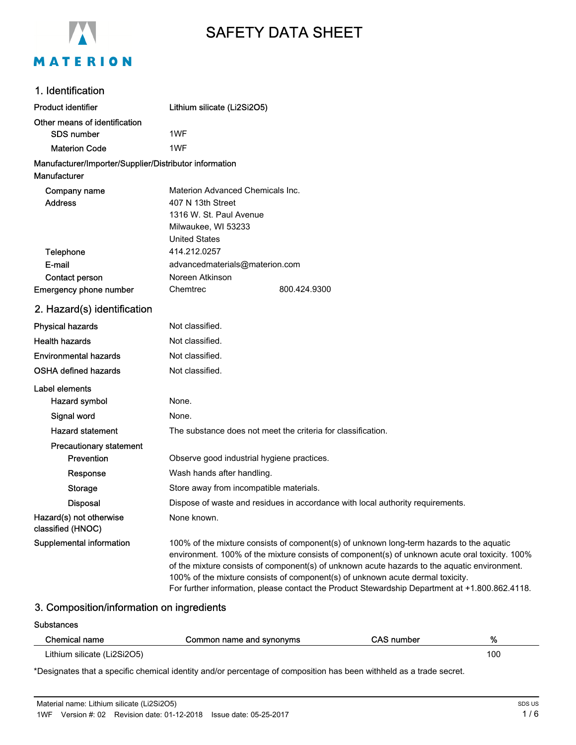

# SAFETY DATA SHEET

## 1. Identification

| <b>Product identifier</b>                              | Lithium silicate (Li2Si2O5)               |                                                              |
|--------------------------------------------------------|-------------------------------------------|--------------------------------------------------------------|
| Other means of identification                          |                                           |                                                              |
| SDS number                                             | 1WF                                       |                                                              |
| <b>Materion Code</b>                                   | 1WF                                       |                                                              |
| Manufacturer/Importer/Supplier/Distributor information |                                           |                                                              |
| Manufacturer                                           |                                           |                                                              |
| Company name                                           | Materion Advanced Chemicals Inc.          |                                                              |
| <b>Address</b>                                         | 407 N 13th Street                         |                                                              |
|                                                        | 1316 W. St. Paul Avenue                   |                                                              |
|                                                        | Milwaukee, WI 53233                       |                                                              |
|                                                        | <b>United States</b>                      |                                                              |
| Telephone                                              | 414.212.0257                              |                                                              |
| E-mail                                                 | advancedmaterials@materion.com            |                                                              |
| Contact person                                         | Noreen Atkinson                           |                                                              |
| <b>Emergency phone number</b>                          | Chemtrec                                  | 800.424.9300                                                 |
| 2. Hazard(s) identification                            |                                           |                                                              |
| <b>Physical hazards</b>                                | Not classified.                           |                                                              |
| <b>Health hazards</b>                                  | Not classified.                           |                                                              |
| <b>Environmental hazards</b>                           | Not classified.                           |                                                              |
| <b>OSHA defined hazards</b>                            | Not classified.                           |                                                              |
| Label elements                                         |                                           |                                                              |
| Hazard symbol                                          | None.                                     |                                                              |
| Signal word                                            | None.                                     |                                                              |
| <b>Hazard statement</b>                                |                                           | The substance does not meet the criteria for classification. |
| <b>Precautionary statement</b>                         |                                           |                                                              |
| <b>Drovention</b>                                      | Observe good industrial bygione practices |                                                              |

**Prevention C** Observe good industrial hygiene practices. Response Wash hands after handling. Storage Store away from incompatible materials. Disposal **Dispose of waste and residues in accordance with local authority requirements.** Hazard(s) not otherwise classified (HNOC) None known. Supplemental information 100% of the mixture consists of component(s) of unknown long-term hazards to the aquatic environment. 100% of the mixture consists of component(s) of unknown acute oral toxicity. 100% of the mixture consists of component(s) of unknown acute hazards to the aquatic environment. 100% of the mixture consists of component(s) of unknown acute dermal toxicity.

For further information, please contact the Product Stewardship Department at +1.800.862.4118.

#### 3. Composition/information on ingredients

#### **Substances**

| Chemical name               | Common name and synonyms | CAS number | %   |
|-----------------------------|--------------------------|------------|-----|
| Lithium silicate (Li2Si2O5) |                          |            | 100 |

\*Designates that a specific chemical identity and/or percentage of composition has been withheld as a trade secret.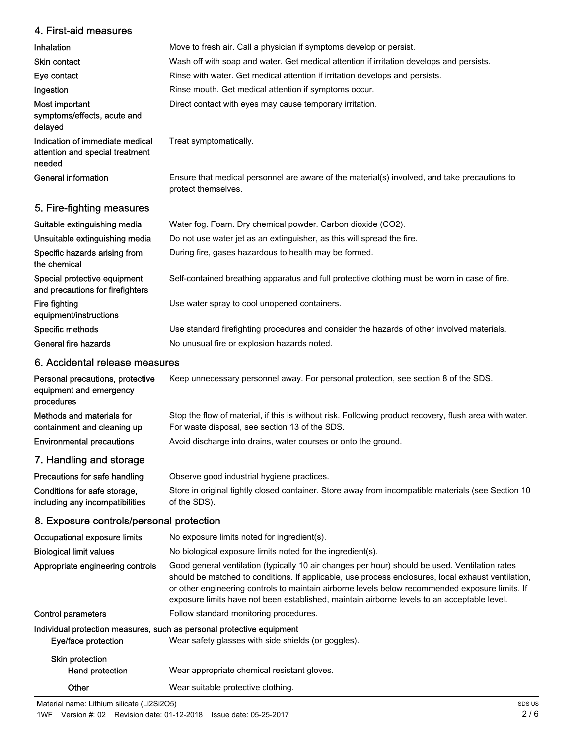## 4. First-aid measures

| Inhalation                                                                   | Move to fresh air. Call a physician if symptoms develop or persist.                                                 |
|------------------------------------------------------------------------------|---------------------------------------------------------------------------------------------------------------------|
| <b>Skin contact</b>                                                          | Wash off with soap and water. Get medical attention if irritation develops and persists.                            |
| Eye contact                                                                  | Rinse with water. Get medical attention if irritation develops and persists.                                        |
| Ingestion                                                                    | Rinse mouth. Get medical attention if symptoms occur.                                                               |
| Most important<br>symptoms/effects, acute and<br>delayed                     | Direct contact with eyes may cause temporary irritation.                                                            |
| Indication of immediate medical<br>attention and special treatment<br>needed | Treat symptomatically.                                                                                              |
| General information                                                          | Ensure that medical personnel are aware of the material(s) involved, and take precautions to<br>protect themselves. |
| 5. Fire-fighting measures                                                    |                                                                                                                     |
| Suitable extinguishing media                                                 | Water fog. Foam. Dry chemical powder. Carbon dioxide (CO2).                                                         |
|                                                                              |                                                                                                                     |

| Unsuitable extinguishing media                                   | Do not use water jet as an extinguisher, as this will spread the fire.                        |
|------------------------------------------------------------------|-----------------------------------------------------------------------------------------------|
| Specific hazards arising from<br>the chemical                    | During fire, gases hazardous to health may be formed.                                         |
| Special protective equipment<br>and precautions for firefighters | Self-contained breathing apparatus and full protective clothing must be worn in case of fire. |
| Fire fighting<br>equipment/instructions                          | Use water spray to cool unopened containers.                                                  |
| Specific methods                                                 | Use standard firefighting procedures and consider the hazards of other involved materials.    |
| General fire hazards                                             | No unusual fire or explosion hazards noted.                                                   |

## 6. Accidental release measures

| Personal precautions, protective<br>equipment and emergency<br>procedures | Keep unnecessary personnel away. For personal protection, see section 8 of the SDS.                                                                      |
|---------------------------------------------------------------------------|----------------------------------------------------------------------------------------------------------------------------------------------------------|
| Methods and materials for<br>containment and cleaning up                  | Stop the flow of material, if this is without risk. Following product recovery, flush area with water.<br>For waste disposal, see section 13 of the SDS. |
| <b>Environmental precautions</b>                                          | Avoid discharge into drains, water courses or onto the ground.                                                                                           |
| 7. Handling and storage                                                   |                                                                                                                                                          |

| Precautions for safe handling   | Observe good industrial hygiene practices.                                                         |
|---------------------------------|----------------------------------------------------------------------------------------------------|
| Conditions for safe storage,    | Store in original tightly closed container. Store away from incompatible materials (see Section 10 |
| including any incompatibilities | of the SDS).                                                                                       |

# 8. Exposure controls/personal protection

| Occupational exposure limits                                          | No exposure limits noted for ingredient(s).                                                                                                                                                                                                                                                                                                                                                            |
|-----------------------------------------------------------------------|--------------------------------------------------------------------------------------------------------------------------------------------------------------------------------------------------------------------------------------------------------------------------------------------------------------------------------------------------------------------------------------------------------|
| <b>Biological limit values</b>                                        | No biological exposure limits noted for the ingredient(s).                                                                                                                                                                                                                                                                                                                                             |
| Appropriate engineering controls                                      | Good general ventilation (typically 10 air changes per hour) should be used. Ventilation rates<br>should be matched to conditions. If applicable, use process enclosures, local exhaust ventilation,<br>or other engineering controls to maintain airborne levels below recommended exposure limits. If<br>exposure limits have not been established, maintain airborne levels to an acceptable level. |
| Control parameters                                                    | Follow standard monitoring procedures.                                                                                                                                                                                                                                                                                                                                                                 |
| Individual protection measures, such as personal protective equipment |                                                                                                                                                                                                                                                                                                                                                                                                        |
| Eye/face protection                                                   | Wear safety glasses with side shields (or goggles).                                                                                                                                                                                                                                                                                                                                                    |
| Skin protection<br>Hand protection                                    | Wear appropriate chemical resistant gloves.                                                                                                                                                                                                                                                                                                                                                            |
| Other                                                                 | Wear suitable protective clothing.                                                                                                                                                                                                                                                                                                                                                                     |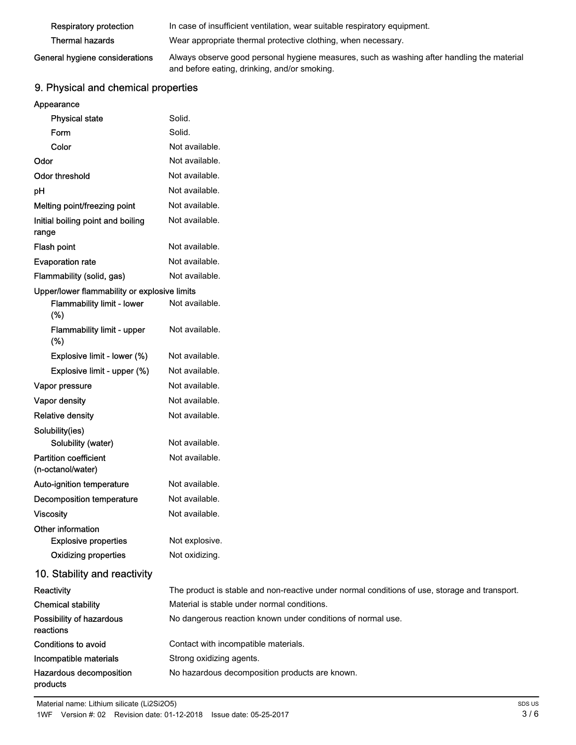| <b>Respiratory protection</b>  | In case of insufficient ventilation, wear suitable respiratory equipment.                  |
|--------------------------------|--------------------------------------------------------------------------------------------|
| Thermal hazards                | Wear appropriate thermal protective clothing, when necessary.                              |
| General hygiene considerations | Always observe good personal hygiene measures, such as washing after handling the material |

# and before eating, drinking, and/or smoking.

# 9. Physical and chemical properties

| <b>Physical state</b>                             | Solid.                                                                                        |
|---------------------------------------------------|-----------------------------------------------------------------------------------------------|
| Form                                              | Solid.                                                                                        |
| Color                                             | Not available.                                                                                |
| Odor                                              | Not available.                                                                                |
| <b>Odor threshold</b>                             | Not available.                                                                                |
| pH                                                | Not available.                                                                                |
| Melting point/freezing point                      | Not available.                                                                                |
| Initial boiling point and boiling<br>range        | Not available.                                                                                |
| <b>Flash point</b>                                | Not available.                                                                                |
| <b>Evaporation rate</b>                           | Not available.                                                                                |
| Flammability (solid, gas)                         | Not available.                                                                                |
| Upper/lower flammability or explosive limits      |                                                                                               |
| Flammability limit - lower<br>(%)                 | Not available.                                                                                |
| Flammability limit - upper<br>(% )                | Not available.                                                                                |
| Explosive limit - lower (%)                       | Not available.                                                                                |
| Explosive limit - upper (%)                       | Not available.                                                                                |
| Vapor pressure                                    | Not available.                                                                                |
| Vapor density                                     | Not available.                                                                                |
| <b>Relative density</b>                           | Not available.                                                                                |
| Solubility(ies)                                   |                                                                                               |
| Solubility (water)                                | Not available.                                                                                |
| <b>Partition coefficient</b><br>(n-octanol/water) | Not available.                                                                                |
| Auto-ignition temperature                         | Not available.                                                                                |
| <b>Decomposition temperature</b>                  | Not available.                                                                                |
| <b>Viscosity</b>                                  | Not available.                                                                                |
| Other information                                 |                                                                                               |
| <b>Explosive properties</b>                       | Not explosive.                                                                                |
| <b>Oxidizing properties</b>                       | Not oxidizing.                                                                                |
| 10. Stability and reactivity                      |                                                                                               |
| Reactivity                                        | The product is stable and non-reactive under normal conditions of use, storage and transport. |
| <b>Chemical stability</b>                         | Material is stable under normal conditions.                                                   |
| Possibility of hazardous<br>reactions             | No dangerous reaction known under conditions of normal use.                                   |
| Conditions to avoid                               | Contact with incompatible materials.                                                          |
| Incompatible materials                            | Strong oxidizing agents.                                                                      |
| Hazardous decomposition<br>products               | No hazardous decomposition products are known.                                                |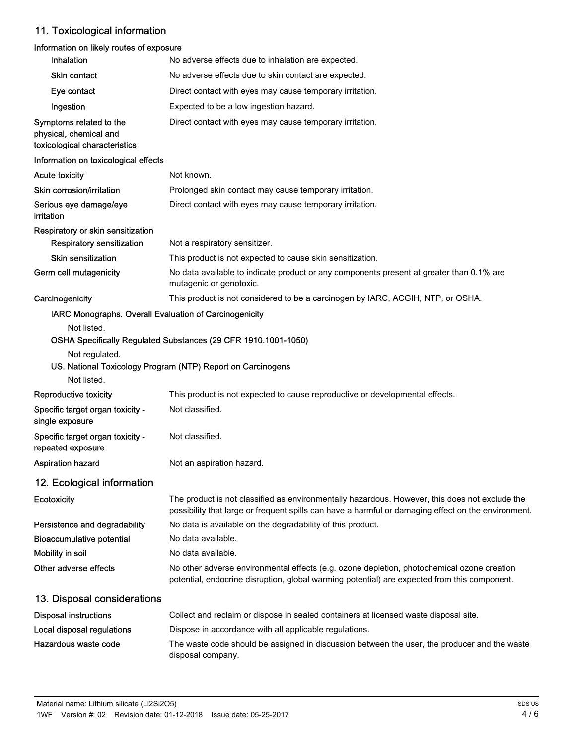# 11. Toxicological information

## Information on likely routes of exposure

| <b>Inhalation</b>                                                                  | No adverse effects due to inhalation are expected.                                                                                                                                                    |
|------------------------------------------------------------------------------------|-------------------------------------------------------------------------------------------------------------------------------------------------------------------------------------------------------|
| <b>Skin contact</b>                                                                | No adverse effects due to skin contact are expected.                                                                                                                                                  |
| Eye contact                                                                        | Direct contact with eyes may cause temporary irritation.                                                                                                                                              |
| Ingestion                                                                          | Expected to be a low ingestion hazard.                                                                                                                                                                |
| Symptoms related to the<br>physical, chemical and<br>toxicological characteristics | Direct contact with eyes may cause temporary irritation.                                                                                                                                              |
| Information on toxicological effects                                               |                                                                                                                                                                                                       |
| <b>Acute toxicity</b>                                                              | Not known.                                                                                                                                                                                            |
| Skin corrosion/irritation                                                          | Prolonged skin contact may cause temporary irritation.                                                                                                                                                |
| Serious eye damage/eye<br>irritation                                               | Direct contact with eyes may cause temporary irritation.                                                                                                                                              |
| Respiratory or skin sensitization                                                  |                                                                                                                                                                                                       |
| Respiratory sensitization                                                          | Not a respiratory sensitizer.                                                                                                                                                                         |
| <b>Skin sensitization</b>                                                          | This product is not expected to cause skin sensitization.                                                                                                                                             |
| Germ cell mutagenicity                                                             | No data available to indicate product or any components present at greater than 0.1% are<br>mutagenic or genotoxic.                                                                                   |
| Carcinogenicity                                                                    | This product is not considered to be a carcinogen by IARC, ACGIH, NTP, or OSHA.                                                                                                                       |
| IARC Monographs. Overall Evaluation of Carcinogenicity                             |                                                                                                                                                                                                       |
| Not listed.<br>Not regulated.<br>Not listed.                                       | OSHA Specifically Regulated Substances (29 CFR 1910.1001-1050)<br>US. National Toxicology Program (NTP) Report on Carcinogens                                                                         |
| Reproductive toxicity                                                              | This product is not expected to cause reproductive or developmental effects.                                                                                                                          |
| Specific target organ toxicity -<br>single exposure                                | Not classified.                                                                                                                                                                                       |
| Specific target organ toxicity -<br>repeated exposure                              | Not classified.                                                                                                                                                                                       |
| Aspiration hazard                                                                  | Not an aspiration hazard.                                                                                                                                                                             |
| 12. Ecological information                                                         |                                                                                                                                                                                                       |
| Ecotoxicity                                                                        | The product is not classified as environmentally hazardous. However, this does not exclude the<br>possibility that large or frequent spills can have a harmful or damaging effect on the environment. |
| Persistence and degradability                                                      | No data is available on the degradability of this product.                                                                                                                                            |
| <b>Bioaccumulative potential</b>                                                   | No data available.                                                                                                                                                                                    |
| Mobility in soil                                                                   | No data available.                                                                                                                                                                                    |
| Other adverse effects                                                              | No other adverse environmental effects (e.g. ozone depletion, photochemical ozone creation<br>potential, endocrine disruption, global warming potential) are expected from this component.            |
| 13. Disposal considerations                                                        |                                                                                                                                                                                                       |
| <b>Disposal instructions</b>                                                       | Collect and reclaim or dispose in sealed containers at licensed waste disposal site.                                                                                                                  |
| Local disposal regulations                                                         | Dispose in accordance with all applicable regulations.                                                                                                                                                |
| Hazardous waste code                                                               | The waste code should be assigned in discussion between the user, the producer and the waste<br>disposal company.                                                                                     |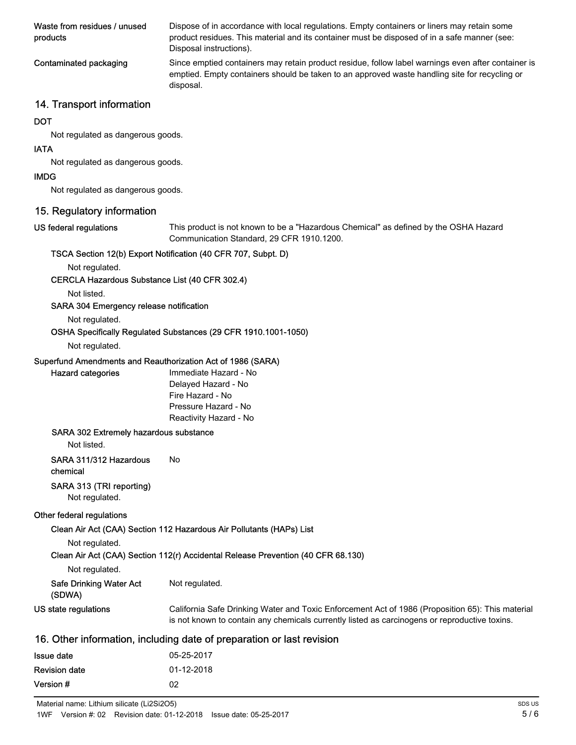| Waste from residues / unused<br>products | Dispose of in accordance with local regulations. Empty containers or liners may retain some<br>product residues. This material and its container must be disposed of in a safe manner (see:<br>Disposal instructions). |
|------------------------------------------|------------------------------------------------------------------------------------------------------------------------------------------------------------------------------------------------------------------------|
| Contaminated packaging                   | Since emptied containers may retain product residue, follow label warnings even after container is<br>emptied. Empty containers should be taken to an approved waste handling site for recycling or<br>disposal.       |

## 14. Transport information

#### **DOT**

Not regulated as dangerous goods.

### IATA

Not regulated as dangerous goods.

### IMDG

Not regulated as dangerous goods.

## 15. Regulatory information

#### US federal regulations

This product is not known to be a "Hazardous Chemical" as defined by the OSHA Hazard Communication Standard, 29 CFR 1910.1200.

## TSCA Section 12(b) Export Notification (40 CFR 707, Subpt. D)

Not regulated.

#### CERCLA Hazardous Substance List (40 CFR 302.4)

Not listed.

## SARA 304 Emergency release notification

Not regulated.

## OSHA Specifically Regulated Substances (29 CFR 1910.1001-1050)

#### Not regulated.

Hazard categories

## Superfund Amendments and Reauthorization Act of 1986 (SARA)

| Immediate Hazard - No  |
|------------------------|
| Delayed Hazard - No    |
| Fire Hazard - No       |
| Pressure Hazard - No   |
| Reactivity Hazard - No |

#### SARA 302 Extremely hazardous substance

Not listed.

## SARA 311/312 Hazardous No

chemical

## SARA 313 (TRI reporting)

Not regulated.

#### Other federal regulations

Clean Air Act (CAA) Section 112 Hazardous Air Pollutants (HAPs) List

Not regulated.

Clean Air Act (CAA) Section 112(r) Accidental Release Prevention (40 CFR 68.130)

|  | Not regulated. |
|--|----------------|
|--|----------------|

| <b>Safe Drinking Water Act</b> | Not regulated. |
|--------------------------------|----------------|
| <b><i>(SDMA)</i></b>           |                |

| $\overline{v}$       |                                                                                                  |
|----------------------|--------------------------------------------------------------------------------------------------|
| US state regulations | California Safe Drinking Water and Toxic Enforcement Act of 1986 (Proposition 65): This material |
|                      | is not known to contain any chemicals currently listed as carcinogens or reproductive toxins.    |

## 16. Other information, including date of preparation or last revision

| Issue date           | 05-25-2017 |
|----------------------|------------|
| <b>Revision date</b> | 01-12-2018 |
| Version #            | 02         |